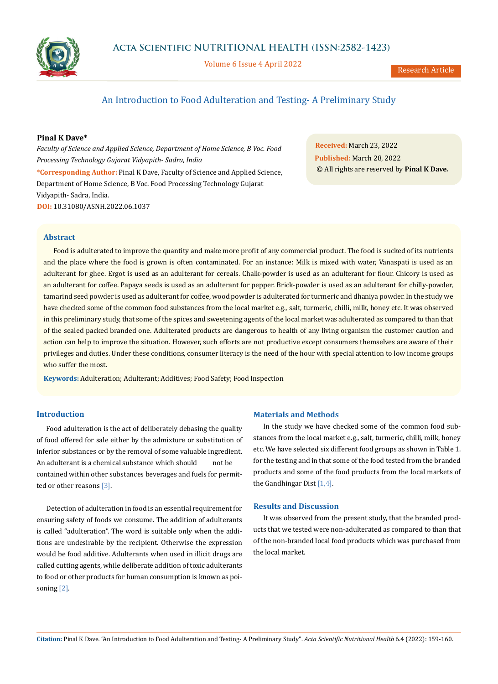

Volume 6 Issue 4 April 2022

# An Introduction to Food Adulteration and Testing- A Preliminary Study

## **Pinal K Dave\***

*Faculty of Science and Applied Science, Department of Home Science, B Voc. Food Processing Technology Gujarat Vidyapith- Sadra, India* **\*Corresponding Author:** Pinal K Dave, Faculty of Science and Applied Science, Department of Home Science, B Voc. Food Processing Technology Gujarat Vidyapith- Sadra, India. **DOI:** [10.31080/ASNH.2022.06.1037](https://actascientific.com/ASNH/pdf/ASNH-06-1037.pdf)

**Received:** March 23, 2022 **Published:** March 28, 2022 © All rights are reserved by **Pinal K Dave***.*

#### **Abstract**

Food is adulterated to improve the quantity and make more profit of any commercial product. The food is sucked of its nutrients and the place where the food is grown is often contaminated. For an instance: Milk is mixed with water, Vanaspati is used as an adulterant for ghee. Ergot is used as an adulterant for cereals. Chalk-powder is used as an adulterant for flour. Chicory is used as an adulterant for coffee. Papaya seeds is used as an adulterant for pepper. Brick-powder is used as an adulterant for chilly-powder, tamarind seed powder is used as adulterant for coffee, wood powder is adulterated for turmeric and dhaniya powder. In the study we have checked some of the common food substances from the local market e.g., salt, turmeric, chilli, milk, honey etc. It was observed in this preliminary study, that some of the spices and sweetening agents of the local market was adulterated as compared to than that of the sealed packed branded one. Adulterated products are dangerous to health of any living organism the customer caution and action can help to improve the situation. However, such efforts are not productive except consumers themselves are aware of their privileges and duties. Under these conditions, consumer literacy is the need of the hour with special attention to low income groups who suffer the most.

**Keywords:** Adulteration; Adulterant; Additives; Food Safety; Food Inspection

### **Introduction**

Food adulteration is the act of deliberately debasing the quality of food offered for sale either by the admixture or substitution of inferior substances or by the removal of some valuable ingredient. An adulterant is a chemical substance which should not be contained within other substances beverages and fuels for permitted or other reasons [3].

Detection of adulteration in food is an essential requirement for ensuring safety of foods we consume. The addition of adulterants is called "adulteration". The word is suitable only when the additions are undesirable by the recipient. Otherwise the expression would be food additive. Adulterants when used in illicit drugs are called cutting agents, while deliberate addition of toxic adulterants to food or other products for human consumption is known as poisoning [2].

### **Materials and Methods**

In the study we have checked some of the common food substances from the local market e.g., salt, turmeric, chilli, milk, honey etc. We have selected six different food groups as shown in Table 1. for the testing and in that some of the food tested from the branded products and some of the food products from the local markets of the Gandhingar Dist [1,4].

#### **Results and Discussion**

It was observed from the present study, that the branded products that we tested were non-adulterated as compared to than that of the non-branded local food products which was purchased from the local market.